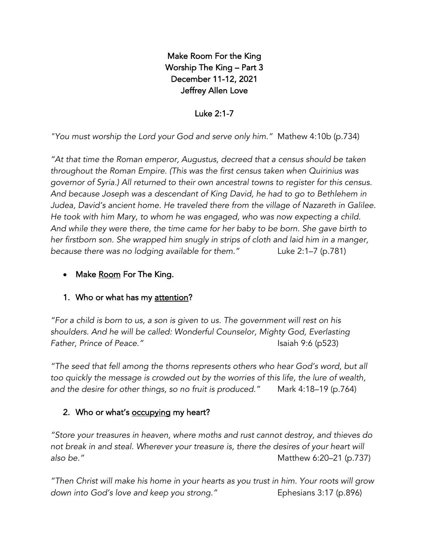Make Room For the King Worship The King – Part 3 December 11-12, 2021 Jeffrey Allen Love

Luke 2:1-7

*"You must worship the Lord your God and serve only him."* Mathew 4:10b (p.734)

*"At that time the Roman emperor, Augustus, decreed that a census should be taken throughout the Roman Empire. (This was the first census taken when Quirinius was governor of Syria.) All returned to their own ancestral towns to register for this census. And because Joseph was a descendant of King David, he had to go to Bethlehem in Judea, David's ancient home. He traveled there from the village of Nazareth in Galilee. He took with him Mary, to whom he was engaged, who was now expecting a child. And while they were there, the time came for her baby to be born. She gave birth to her firstborn son. She wrapped him snugly in strips of cloth and laid him in a manger, because there was no lodging available for them."* Luke 2:1–7 (p.781)

# Make Room For The King.

# 1. Who or what has my attention?

*"For a child is born to us, a son is given to us. The government will rest on his shoulders. And he will be called: Wonderful Counselor, Mighty God, Everlasting Father, Prince of Peace."* Isaiah 9:6 (p523)

*"The seed that fell among the thorns represents others who hear God's word, but all too quickly the message is crowded out by the worries of this life, the lure of wealth, and the desire for other things, so no fruit is produced."* Mark 4:18–19 (p.764)

# 2. Who or what's **occupying** my heart?

*"Store your treasures in heaven, where moths and rust cannot destroy, and thieves do not break in and steal. Wherever your treasure is, there the desires of your heart will also be."* Matthew 6:20–21 (p.737)

*"Then Christ will make his home in your hearts as you trust in him. Your roots will grow*  down into God's love and keep you strong." Ephesians 3:17 (p.896)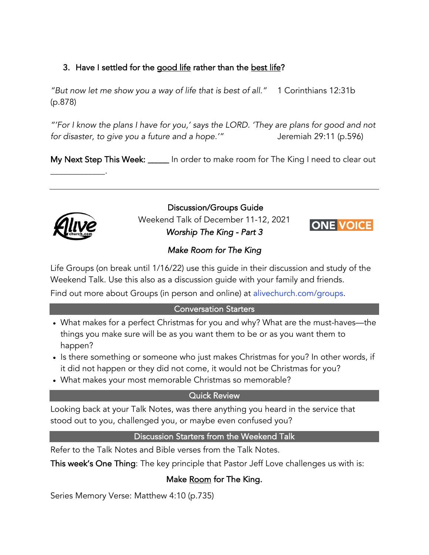# 3. Have I settled for the good life rather than the best life?

*"But now let me show you a way of life that is best of all."* 1 Corinthians 12:31b (p.878)

*"'For I know the plans I have for you,' says the LORD. 'They are plans for good and not for disaster, to give you a future and a hope.'"* Jeremiah 29:11 (p.596)

My Next Step This Week: \_\_\_\_\_ In order to make room for The King I need to clear out



 $\overline{\phantom{a}}$  . The set of  $\overline{\phantom{a}}$  ,  $\overline{\phantom{a}}$  ,  $\overline{\phantom{a}}$  ,  $\overline{\phantom{a}}$  ,  $\overline{\phantom{a}}$  ,  $\overline{\phantom{a}}$  ,  $\overline{\phantom{a}}$  ,  $\overline{\phantom{a}}$  ,  $\overline{\phantom{a}}$  ,  $\overline{\phantom{a}}$  ,  $\overline{\phantom{a}}$  ,  $\overline{\phantom{a}}$  ,  $\overline{\phantom{a}}$  ,  $\overline{\phantom{a}}$  ,

Discussion/Groups Guide Weekend Talk of December 11-12, 2021 *Worship The King - Part 3* 



### *Make Room for The King*

Life Groups (on break until 1/16/22) use this guide in their discussion and study of the Weekend Talk. Use this also as a discussion guide with your family and friends.

Find out more about Groups (in person and online) at alivechurch.com/groups.

#### Conversation Starters

- What makes for a perfect Christmas for you and why? What are the must-haves—the things you make sure will be as you want them to be or as you want them to happen?
- Is there something or someone who just makes Christmas for you? In other words, if it did not happen or they did not come, it would not be Christmas for you?
- What makes your most memorable Christmas so memorable?

#### Quick Review

Looking back at your Talk Notes, was there anything you heard in the service that stood out to you, challenged you, or maybe even confused you?

#### Discussion Starters from the Weekend Talk

Refer to the Talk Notes and Bible verses from the Talk Notes.

This week's One Thing: The key principle that Pastor Jeff Love challenges us with is:

# Make Room for The King.

Series Memory Verse: Matthew 4:10 (p.735)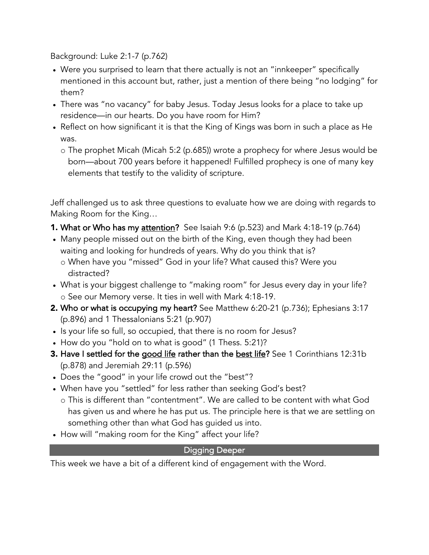Background: Luke 2:1-7 (p.762)

- Were you surprised to learn that there actually is not an "innkeeper" specifically mentioned in this account but, rather, just a mention of there being "no lodging" for them?
- There was "no vacancy" for baby Jesus. Today Jesus looks for a place to take up residence—in our hearts. Do you have room for Him?
- Reflect on how significant it is that the King of Kings was born in such a place as He was.
	- o The prophet Micah (Micah 5:2 (p.685)) wrote a prophecy for where Jesus would be born—about 700 years before it happened! Fulfilled prophecy is one of many key elements that testify to the validity of scripture.

Jeff challenged us to ask three questions to evaluate how we are doing with regards to Making Room for the King…

- **1. What or Who has my attention?** See Isaiah 9:6 (p.523) and Mark 4:18-19 (p.764)
- Many people missed out on the birth of the King, even though they had been waiting and looking for hundreds of years. Why do you think that is?
	- o When have you "missed" God in your life? What caused this? Were you distracted?
- What is your biggest challenge to "making room" for Jesus every day in your life? o See our Memory verse. It ties in well with Mark 4:18-19.
- 2. Who or what is occupying my heart? See Matthew 6:20-21 (p.736); Ephesians 3:17 (p.896) and 1 Thessalonians 5:21 (p.907)
- Is your life so full, so occupied, that there is no room for Jesus?
- How do you "hold on to what is good" (1 Thess. 5:21)?
- **3.** Have I settled for the good life rather than the best life? See 1 Corinthians 12:31b (p.878) and Jeremiah 29:11 (p.596)
- Does the "good" in your life crowd out the "best"?
- When have you "settled" for less rather than seeking God's best?
- o This is different than "contentment". We are called to be content with what God has given us and where he has put us. The principle here is that we are settling on something other than what God has guided us into.
- How will "making room for the King" affect your life?

# Digging Deeper

This week we have a bit of a different kind of engagement with the Word.